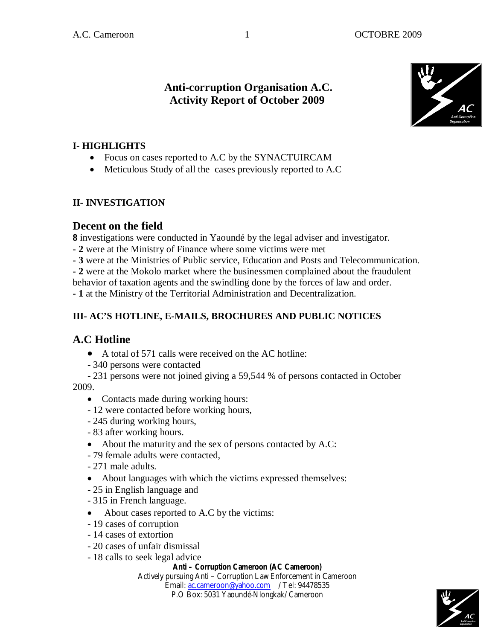### **Anti-corruption Organisation A.C. Activity Report of October 2009**



#### **I- HIGHLIGHTS**

- Focus on cases reported to A.C by the SYNACTUIRCAM
- Meticulous Study of all the cases previously reported to A.C

#### **II- INVESTIGATION**

#### **Decent on the field**

**8** investigations were conducted in Yaoundé by the legal adviser and investigator.

**- 2** were at the Ministry of Finance where some victims were met

**- 3** were at the Ministries of Public service, Education and Posts and Telecommunication.

**- 2** were at the Mokolo market where the businessmen complained about the fraudulent

behavior of taxation agents and the swindling done by the forces of law and order.

**- 1** at the Ministry of the Territorial Administration and Decentralization.

#### **III- AC'S HOTLINE, E-MAILS, BROCHURES AND PUBLIC NOTICES**

# **A.C Hotline**

- A total of 571 calls were received on the AC hotline:
- 340 persons were contacted

 - 231 persons were not joined giving a 59,544 % of persons contacted in October 2009.

- Contacts made during working hours:
- 12 were contacted before working hours,
- 245 during working hours,
- 83 after working hours.
- About the maturity and the sex of persons contacted by A.C:
- 79 female adults were contacted,
- 271 male adults.
- About languages with which the victims expressed themselves:
- 25 in English language and
- 315 in French language.
- About cases reported to A.C by the victims:
- 19 cases of corruption
- 14 cases of extortion
- 20 cases of unfair dismissal
- 18 calls to seek legal advice

#### **Anti – Corruption Cameroon (AC Cameroon)**

Actively pursuing Anti – Corruption Law Enforcement in Cameroon Email: ac.cameroon@yahoo.com / Tel: 94478535

P.O Box: 5031 Yaoundé-Nlongkak/ Cameroon

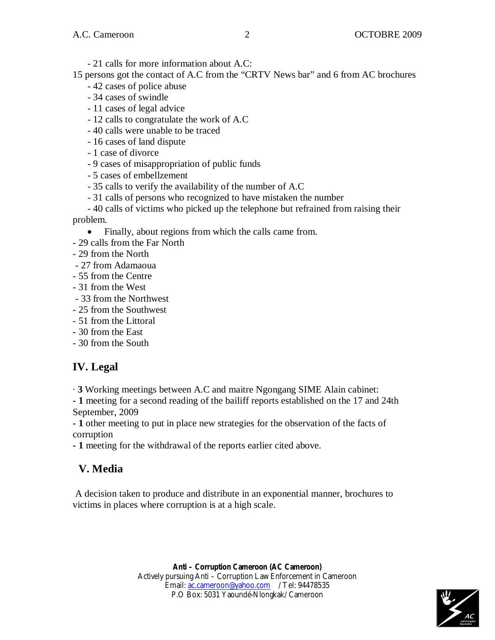- 21 calls for more information about A.C:

15 persons got the contact of A.C from the "CRTV News bar" and 6 from AC brochures

- 42 cases of police abuse
- 34 cases of swindle
- 11 cases of legal advice
- 12 calls to congratulate the work of A.C
- 40 calls were unable to be traced
- 16 cases of land dispute
- 1 case of divorce
- 9 cases of misappropriation of public funds
- 5 cases of embellzement
- 35 calls to verify the availability of the number of A.C
- 31 calls of persons who recognized to have mistaken the number
- 40 calls of victims who picked up the telephone but refrained from raising their problem.
	- Finally, about regions from which the calls came from.
- 29 calls from the Far North
- 29 from the North
- 27 from Adamaoua
- 55 from the Centre
- 31 from the West
- 33 from the Northwest
- 25 from the Southwest
- 51 from the Littoral
- 30 from the East
- 30 from the South

# **IV. Legal**

· **3** Working meetings between A.C and maitre Ngongang SIME Alain cabinet:

**- 1** meeting for a second reading of the bailiff reports established on the 17 and 24th September, 2009

**- 1** other meeting to put in place new strategies for the observation of the facts of corruption

**- 1** meeting for the withdrawal of the reports earlier cited above.

# **V. Media**

A decision taken to produce and distribute in an exponential manner, brochures to victims in places where corruption is at a high scale.

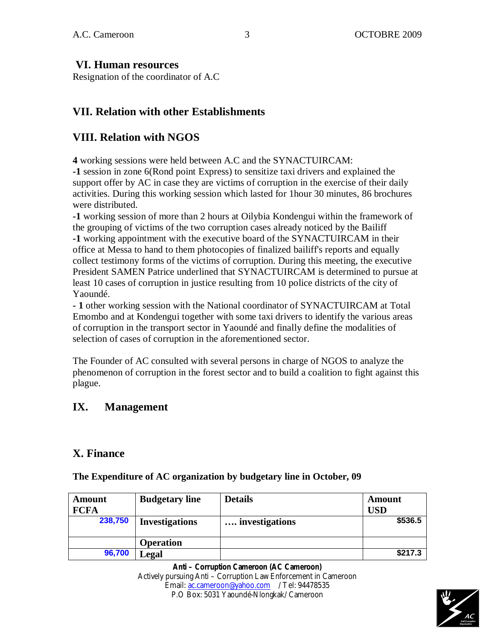#### **VI. Human resources**

Resignation of the coordinator of A.C

### **VII. Relation with other Establishments**

### **VIII. Relation with NGOS**

**4** working sessions were held between A.C and the SYNACTUIRCAM:

**-1** session in zone 6(Rond point Express) to sensitize taxi drivers and explained the support offer by AC in case they are victims of corruption in the exercise of their daily activities. During this working session which lasted for 1hour 30 minutes, 86 brochures were distributed.

**-1** working session of more than 2 hours at Oilybia Kondengui within the framework of the grouping of victims of the two corruption cases already noticed by the Bailiff **-1** working appointment with the executive board of the SYNACTUIRCAM in their office at Messa to hand to them photocopies of finalized bailiff's reports and equally collect testimony forms of the victims of corruption. During this meeting, the executive President SAMEN Patrice underlined that SYNACTUIRCAM is determined to pursue at least 10 cases of corruption in justice resulting from 10 police districts of the city of Yaoundé.

**- 1** other working session with the National coordinator of SYNACTUIRCAM at Total Emombo and at Kondengui together with some taxi drivers to identify the various areas of corruption in the transport sector in Yaoundé and finally define the modalities of selection of cases of corruption in the aforementioned sector.

The Founder of AC consulted with several persons in charge of NGOS to analyze the phenomenon of corruption in the forest sector and to build a coalition to fight against this plague.

# **IX. Management**

# **X. Finance**

| <b>Amount</b><br><b>FCFA</b> | <b>Budgetary line</b> | <b>Details</b> | Amount<br>USD |
|------------------------------|-----------------------|----------------|---------------|
| 238,750                      | <b>Investigations</b> | investigations | \$536.5       |
|                              | <b>Operation</b>      |                |               |
| 96,700                       | Legal                 |                | \$217.3       |

**The Expenditure of AC organization by budgetary line in October, 09** 

**Anti – Corruption Cameroon (AC Cameroon)** Actively pursuing Anti – Corruption Law Enforcement in Cameroon Email: ac.cameroon@yahoo.com / Tel: 94478535 P.O Box: 5031 Yaoundé-Nlongkak/ Cameroon